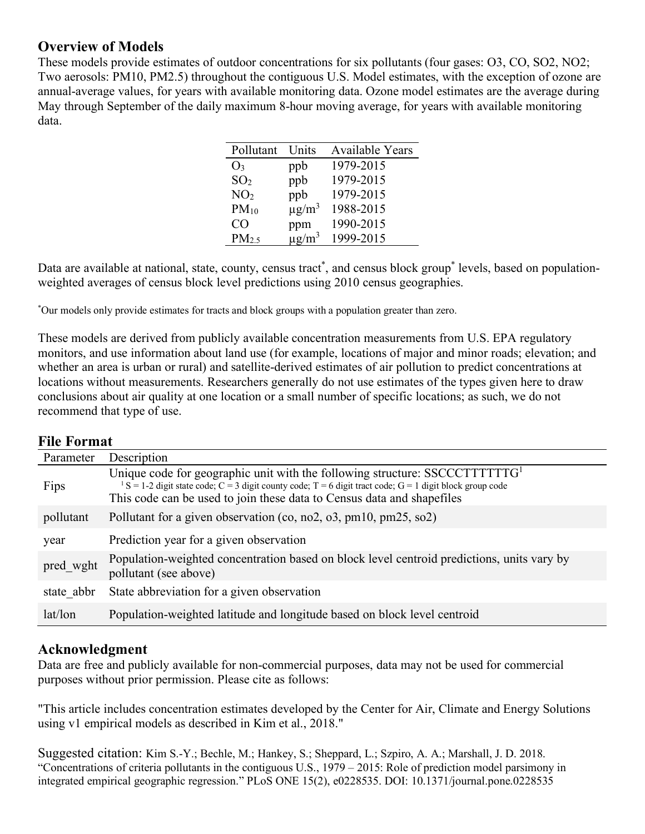# **Overview of Models**

These models provide estimates of outdoor concentrations for six pollutants (four gases: O3, CO, SO2, NO2; Two aerosols: PM10, PM2.5) throughout the contiguous U.S. Model estimates, with the exception of ozone are annual-average values, for years with available monitoring data. Ozone model estimates are the average during May through September of the daily maximum 8-hour moving average, for years with available monitoring data.

| Pollutant       | Units                  | <b>Available Years</b> |
|-----------------|------------------------|------------------------|
| $O_3$           | ppb                    | 1979-2015              |
| SO <sub>2</sub> | ppb                    | 1979-2015              |
| NO <sub>2</sub> | ppb                    | 1979-2015              |
| $PM_{10}$       | $\mu$ g/m <sup>3</sup> | 1988-2015              |
| CO              | ppm                    | 1990-2015              |
| $PM_{2.5}$      | $\mu$ g/m <sup>3</sup> | 1999-2015              |

Data are available at national, state, county, census tract<sup>\*</sup>, and census block group<sup>\*</sup> levels, based on populationweighted averages of census block level predictions using 2010 census geographies.

\* Our models only provide estimates for tracts and block groups with a population greater than zero.

These models are derived from publicly available concentration measurements from U.S. EPA regulatory monitors, and use information about land use (for example, locations of major and minor roads; elevation; and whether an area is urban or rural) and satellite-derived estimates of air pollution to predict concentrations at locations without measurements. Researchers generally do not use estimates of the types given here to draw conclusions about air quality at one location or a small number of specific locations; as such, we do not recommend that type of use.

### **File Format**

| Parameter  | Description                                                                                                                                                                                                                                                                 |  |
|------------|-----------------------------------------------------------------------------------------------------------------------------------------------------------------------------------------------------------------------------------------------------------------------------|--|
| Fips       | Unique code for geographic unit with the following structure: $SSCCTTTTTTG1$<br>$1 S = 1-2$ digit state code; $C = 3$ digit county code; $T = 6$ digit tract code; $G = 1$ digit block group code<br>This code can be used to join these data to Census data and shapefiles |  |
| pollutant  | Pollutant for a given observation (co, no2, o3, pm10, pm25, so2)                                                                                                                                                                                                            |  |
| year       | Prediction year for a given observation                                                                                                                                                                                                                                     |  |
| pred wght  | Population-weighted concentration based on block level centroid predictions, units vary by<br>pollutant (see above)                                                                                                                                                         |  |
| state abbr | State abbreviation for a given observation                                                                                                                                                                                                                                  |  |
| lat/lon    | Population-weighted latitude and longitude based on block level centroid                                                                                                                                                                                                    |  |

## **Acknowledgment**

Data are free and publicly available for non-commercial purposes, data may not be used for commercial purposes without prior permission. Please cite as follows:

"This article includes concentration estimates developed by the Center for Air, Climate and Energy Solutions using v1 empirical models as described in Kim et al., 2018."

Suggested citation: Kim S.-Y.; Bechle, M.; Hankey, S.; Sheppard, L.; Szpiro, A. A.; Marshall, J. D. 2018. "Concentrations of criteria pollutants in the contiguous U.S., 1979 – 2015: Role of prediction model parsimony in integrated empirical geographic regression." PLoS ONE 15(2), e0228535. DOI: 10.1371/journal.pone.0228535